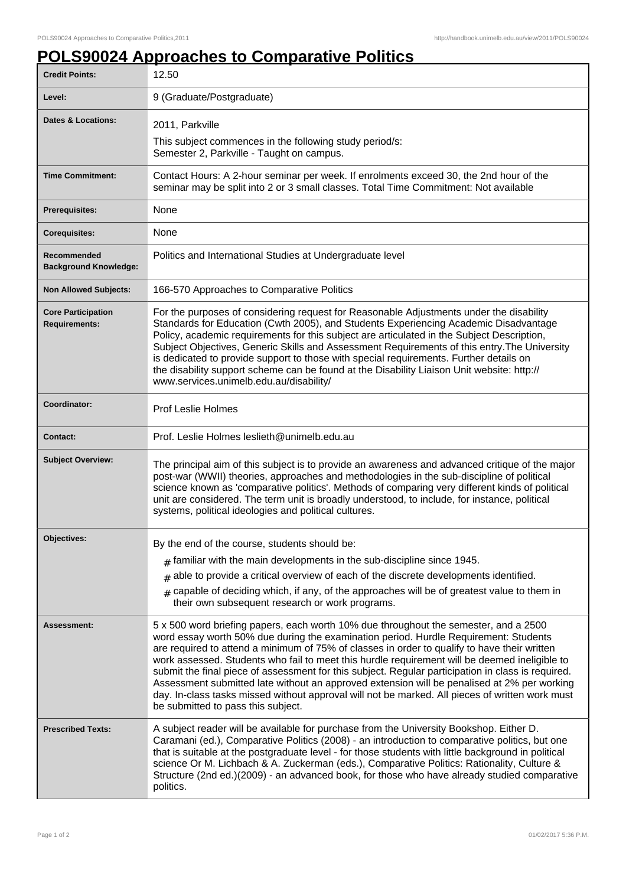## **POLS90024 Approaches to Comparative Politics**

| <b>Credit Points:</b>                             | 12.50                                                                                                                                                                                                                                                                                                                                                                                                                                                                                                                                                                                                                                                                                                                       |
|---------------------------------------------------|-----------------------------------------------------------------------------------------------------------------------------------------------------------------------------------------------------------------------------------------------------------------------------------------------------------------------------------------------------------------------------------------------------------------------------------------------------------------------------------------------------------------------------------------------------------------------------------------------------------------------------------------------------------------------------------------------------------------------------|
| Level:                                            | 9 (Graduate/Postgraduate)                                                                                                                                                                                                                                                                                                                                                                                                                                                                                                                                                                                                                                                                                                   |
| <b>Dates &amp; Locations:</b>                     | 2011, Parkville                                                                                                                                                                                                                                                                                                                                                                                                                                                                                                                                                                                                                                                                                                             |
|                                                   | This subject commences in the following study period/s:<br>Semester 2, Parkville - Taught on campus.                                                                                                                                                                                                                                                                                                                                                                                                                                                                                                                                                                                                                        |
| <b>Time Commitment:</b>                           | Contact Hours: A 2-hour seminar per week. If enrolments exceed 30, the 2nd hour of the<br>seminar may be split into 2 or 3 small classes. Total Time Commitment: Not available                                                                                                                                                                                                                                                                                                                                                                                                                                                                                                                                              |
| Prerequisites:                                    | None                                                                                                                                                                                                                                                                                                                                                                                                                                                                                                                                                                                                                                                                                                                        |
| <b>Corequisites:</b>                              | None                                                                                                                                                                                                                                                                                                                                                                                                                                                                                                                                                                                                                                                                                                                        |
| Recommended<br><b>Background Knowledge:</b>       | Politics and International Studies at Undergraduate level                                                                                                                                                                                                                                                                                                                                                                                                                                                                                                                                                                                                                                                                   |
| <b>Non Allowed Subjects:</b>                      | 166-570 Approaches to Comparative Politics                                                                                                                                                                                                                                                                                                                                                                                                                                                                                                                                                                                                                                                                                  |
| <b>Core Participation</b><br><b>Requirements:</b> | For the purposes of considering request for Reasonable Adjustments under the disability<br>Standards for Education (Cwth 2005), and Students Experiencing Academic Disadvantage<br>Policy, academic requirements for this subject are articulated in the Subject Description,<br>Subject Objectives, Generic Skills and Assessment Requirements of this entry. The University<br>is dedicated to provide support to those with special requirements. Further details on<br>the disability support scheme can be found at the Disability Liaison Unit website: http://<br>www.services.unimelb.edu.au/disability/                                                                                                            |
| Coordinator:                                      | <b>Prof Leslie Holmes</b>                                                                                                                                                                                                                                                                                                                                                                                                                                                                                                                                                                                                                                                                                                   |
| <b>Contact:</b>                                   | Prof. Leslie Holmes leslieth@unimelb.edu.au                                                                                                                                                                                                                                                                                                                                                                                                                                                                                                                                                                                                                                                                                 |
| <b>Subject Overview:</b>                          | The principal aim of this subject is to provide an awareness and advanced critique of the major<br>post-war (WWII) theories, approaches and methodologies in the sub-discipline of political<br>science known as 'comparative politics'. Methods of comparing very different kinds of political<br>unit are considered. The term unit is broadly understood, to include, for instance, political<br>systems, political ideologies and political cultures.                                                                                                                                                                                                                                                                   |
| Objectives:                                       | By the end of the course, students should be:                                                                                                                                                                                                                                                                                                                                                                                                                                                                                                                                                                                                                                                                               |
|                                                   | $_{\text{\#}}$ familiar with the main developments in the sub-discipline since 1945.                                                                                                                                                                                                                                                                                                                                                                                                                                                                                                                                                                                                                                        |
|                                                   | $*$ able to provide a critical overview of each of the discrete developments identified.                                                                                                                                                                                                                                                                                                                                                                                                                                                                                                                                                                                                                                    |
|                                                   | $*$ capable of deciding which, if any, of the approaches will be of greatest value to them in<br>their own subsequent research or work programs.                                                                                                                                                                                                                                                                                                                                                                                                                                                                                                                                                                            |
| Assessment:                                       | 5 x 500 word briefing papers, each worth 10% due throughout the semester, and a 2500<br>word essay worth 50% due during the examination period. Hurdle Requirement: Students<br>are required to attend a minimum of 75% of classes in order to qualify to have their written<br>work assessed. Students who fail to meet this hurdle requirement will be deemed ineligible to<br>submit the final piece of assessment for this subject. Regular participation in class is required.<br>Assessment submitted late without an approved extension will be penalised at 2% per working<br>day. In-class tasks missed without approval will not be marked. All pieces of written work must<br>be submitted to pass this subject. |
| <b>Prescribed Texts:</b>                          | A subject reader will be available for purchase from the University Bookshop. Either D.<br>Caramani (ed.), Comparative Politics (2008) - an introduction to comparative politics, but one<br>that is suitable at the postgraduate level - for those students with little background in political<br>science Or M. Lichbach & A. Zuckerman (eds.), Comparative Politics: Rationality, Culture &<br>Structure (2nd ed.)(2009) - an advanced book, for those who have already studied comparative<br>politics.                                                                                                                                                                                                                 |